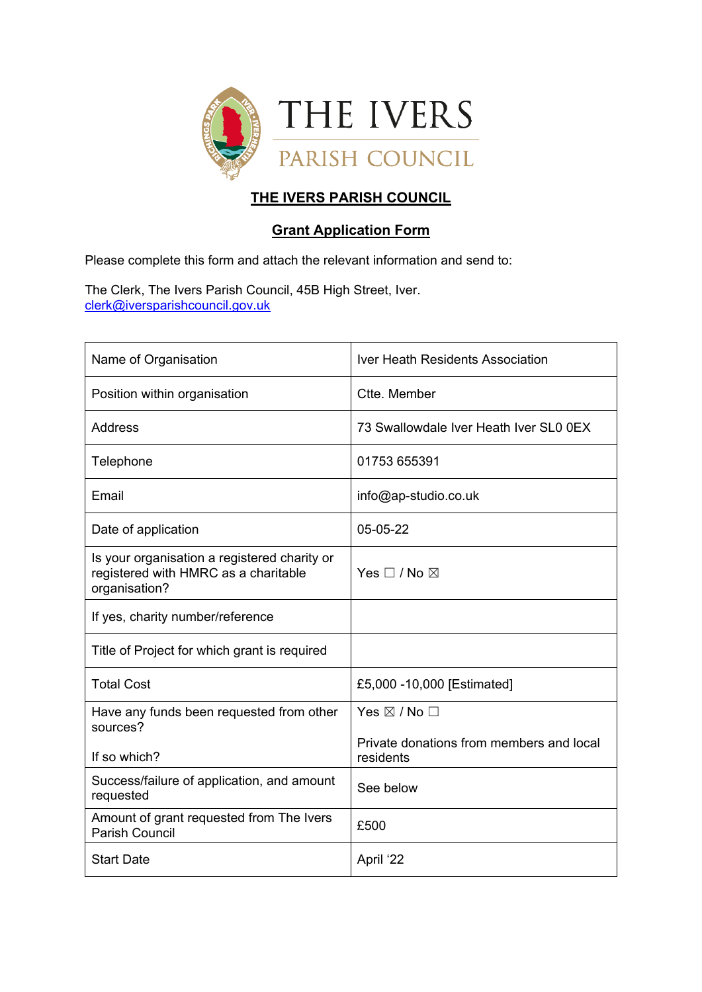

# **THE IVERS PARISH COUNCIL**

# **Grant Application Form**

Please complete this form and attach the relevant information and send to:

The Clerk, The Ivers Parish Council, 45B High Street, Iver. [clerk@iversparishcouncil.gov.uk](mailto:clerk@iversparishcouncil.gov.uk)

| Name of Organisation                                                                                  | <b>Iver Heath Residents Association</b>               |  |  |
|-------------------------------------------------------------------------------------------------------|-------------------------------------------------------|--|--|
| Position within organisation                                                                          | Ctte. Member                                          |  |  |
| Address                                                                                               | 73 Swallowdale Iver Heath Iver SL0 0EX                |  |  |
| Telephone                                                                                             | 01753 655391                                          |  |  |
| Email                                                                                                 | info@ap-studio.co.uk                                  |  |  |
| Date of application                                                                                   | 05-05-22                                              |  |  |
| Is your organisation a registered charity or<br>registered with HMRC as a charitable<br>organisation? | Yes $\square$ / No $\square$                          |  |  |
| If yes, charity number/reference                                                                      |                                                       |  |  |
| Title of Project for which grant is required                                                          |                                                       |  |  |
| <b>Total Cost</b>                                                                                     | £5,000 -10,000 [Estimated]                            |  |  |
| Have any funds been requested from other<br>sources?                                                  | Yes $\boxtimes$ / No $\Box$                           |  |  |
| If so which?                                                                                          | Private donations from members and local<br>residents |  |  |
| Success/failure of application, and amount<br>requested                                               | See below                                             |  |  |
| Amount of grant requested from The Ivers<br><b>Parish Council</b>                                     | £500                                                  |  |  |
| <b>Start Date</b>                                                                                     | April '22                                             |  |  |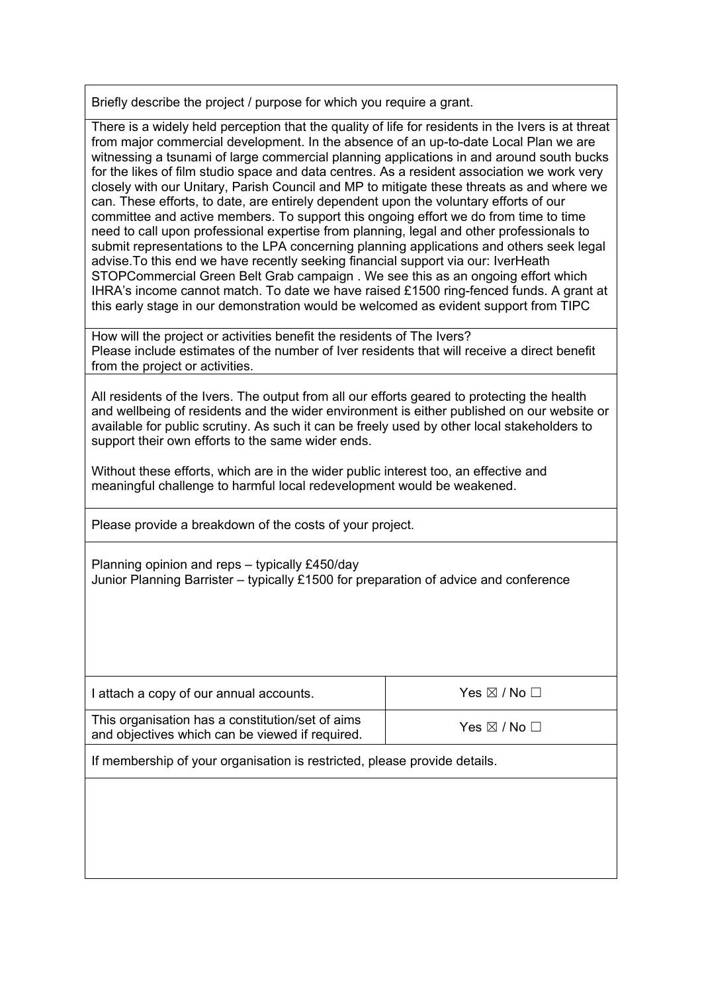Briefly describe the project / purpose for which you require a grant.

There is a widely held perception that the quality of life for residents in the Ivers is at threat from major commercial development. In the absence of an up-to-date Local Plan we are witnessing a tsunami of large commercial planning applications in and around south bucks for the likes of film studio space and data centres. As a resident association we work very closely with our Unitary, Parish Council and MP to mitigate these threats as and where we can. These efforts, to date, are entirely dependent upon the voluntary efforts of our committee and active members. To support this ongoing effort we do from time to time need to call upon professional expertise from planning, legal and other professionals to submit representations to the LPA concerning planning applications and others seek legal advise.To this end we have recently seeking financial support via our: IverHeath STOPCommercial Green Belt Grab campaign . We see this as an ongoing effort which IHRA's income cannot match. To date we have raised £1500 ring-fenced funds. A grant at this early stage in our demonstration would be welcomed as evident support from TIPC

How will the project or activities benefit the residents of The Ivers? Please include estimates of the number of Iver residents that will receive a direct benefit from the project or activities.

All residents of the Ivers. The output from all our efforts geared to protecting the health and wellbeing of residents and the wider environment is either published on our website or available for public scrutiny. As such it can be freely used by other local stakeholders to support their own efforts to the same wider ends.

Without these efforts, which are in the wider public interest too, an effective and meaningful challenge to harmful local redevelopment would be weakened.

Please provide a breakdown of the costs of your project.

Planning opinion and reps – typically £450/day Junior Planning Barrister – typically £1500 for preparation of advice and conference

| I attach a copy of our annual accounts.                                                             | Yes $\boxtimes$ / No $\Box$ |  |  |  |
|-----------------------------------------------------------------------------------------------------|-----------------------------|--|--|--|
| This organisation has a constitution/set of aims<br>and objectives which can be viewed if required. | Yes $\boxtimes$ / No $\Box$ |  |  |  |
| If membership of your organisation is restricted, please provide details.                           |                             |  |  |  |
|                                                                                                     |                             |  |  |  |
|                                                                                                     |                             |  |  |  |
|                                                                                                     |                             |  |  |  |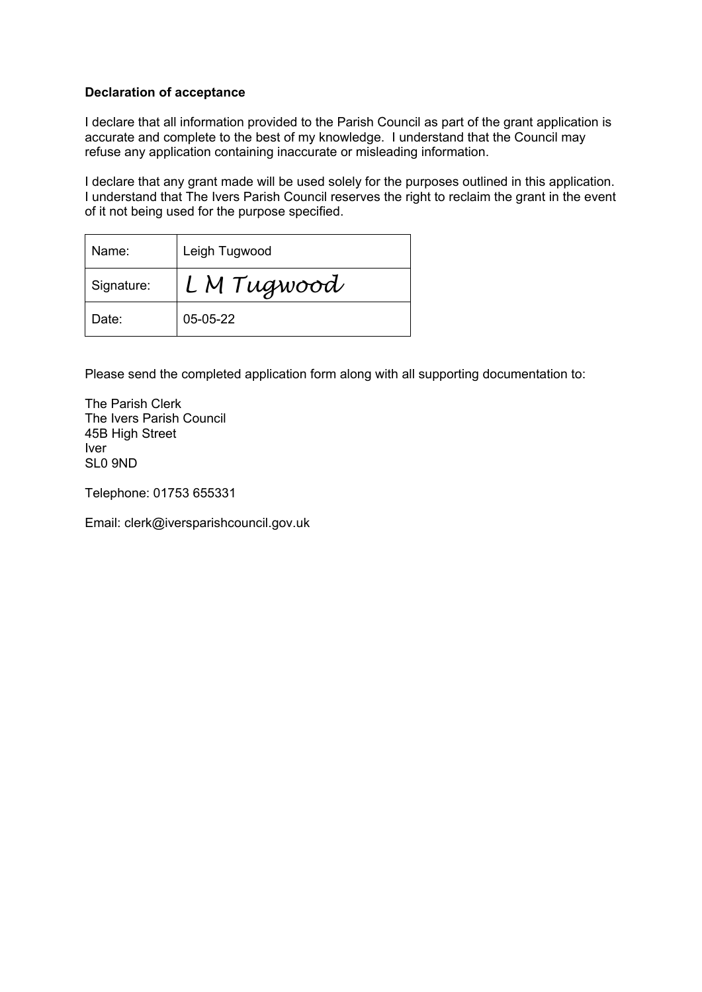#### **Declaration of acceptance**

I declare that all information provided to the Parish Council as part of the grant application is accurate and complete to the best of my knowledge. I understand that the Council may refuse any application containing inaccurate or misleading information.

I declare that any grant made will be used solely for the purposes outlined in this application. I understand that The Ivers Parish Council reserves the right to reclaim the grant in the event of it not being used for the purpose specified.

| Name:      | Leigh Tugwood |
|------------|---------------|
| Signature: | LM Tugwood    |
| Date:      | 05-05-22      |

Please send the completed application form along with all supporting documentation to:

The Parish Clerk The Ivers Parish Council 45B High Street Iver SL0 9ND

Telephone: 01753 655331

Email: clerk@iversparishcouncil.gov.uk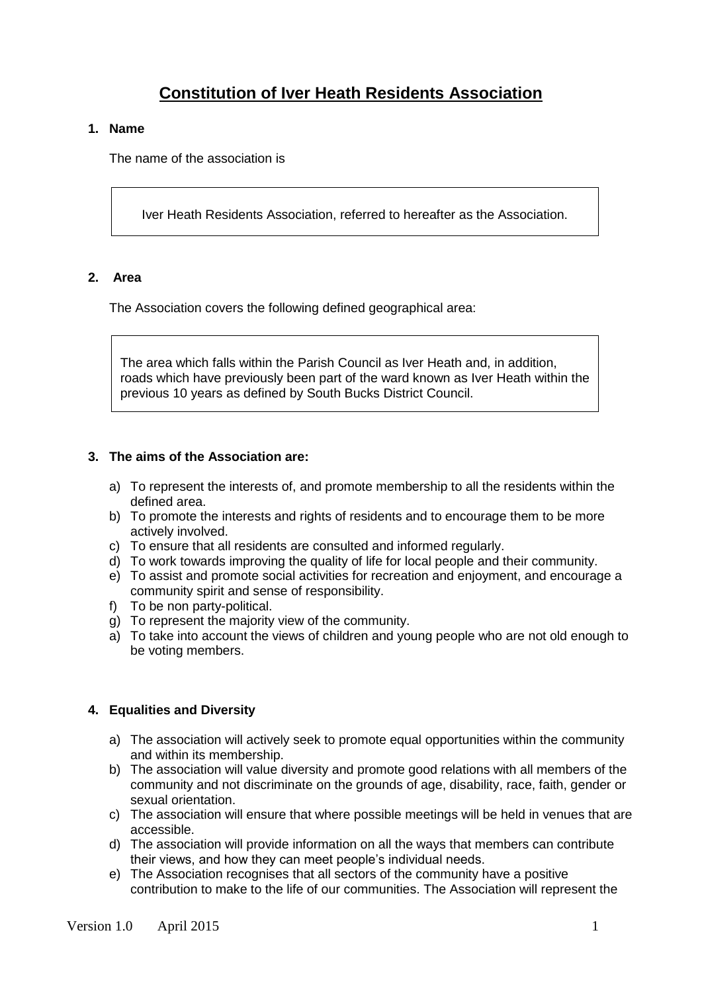# **Constitution of Iver Heath Residents Association**

#### **1. Name**

The name of the association is

Iver Heath Residents Association, referred to hereafter as the Association.

# **2. Area**

The Association covers the following defined geographical area:

The area which falls within the Parish Council as Iver Heath and, in addition, roads which have previously been part of the ward known as Iver Heath within the previous 10 years as defined by South Bucks District Council.

# **3. The aims of the Association are:**

- a) To represent the interests of, and promote membership to all the residents within the defined area.
- b) To promote the interests and rights of residents and to encourage them to be more actively involved.
- c) To ensure that all residents are consulted and informed regularly.
- d) To work towards improving the quality of life for local people and their community.
- e) To assist and promote social activities for recreation and enjoyment, and encourage a community spirit and sense of responsibility.
- f) To be non party-political.
- g) To represent the majority view of the community.
- a) To take into account the views of children and young people who are not old enough to be voting members.

# **4. Equalities and Diversity**

- a) The association will actively seek to promote equal opportunities within the community and within its membership.
- b) The association will value diversity and promote good relations with all members of the community and not discriminate on the grounds of age, disability, race, faith, gender or sexual orientation.
- c) The association will ensure that where possible meetings will be held in venues that are accessible.
- d) The association will provide information on all the ways that members can contribute their views, and how they can meet people's individual needs.
- e) The Association recognises that all sectors of the community have a positive contribution to make to the life of our communities. The Association will represent the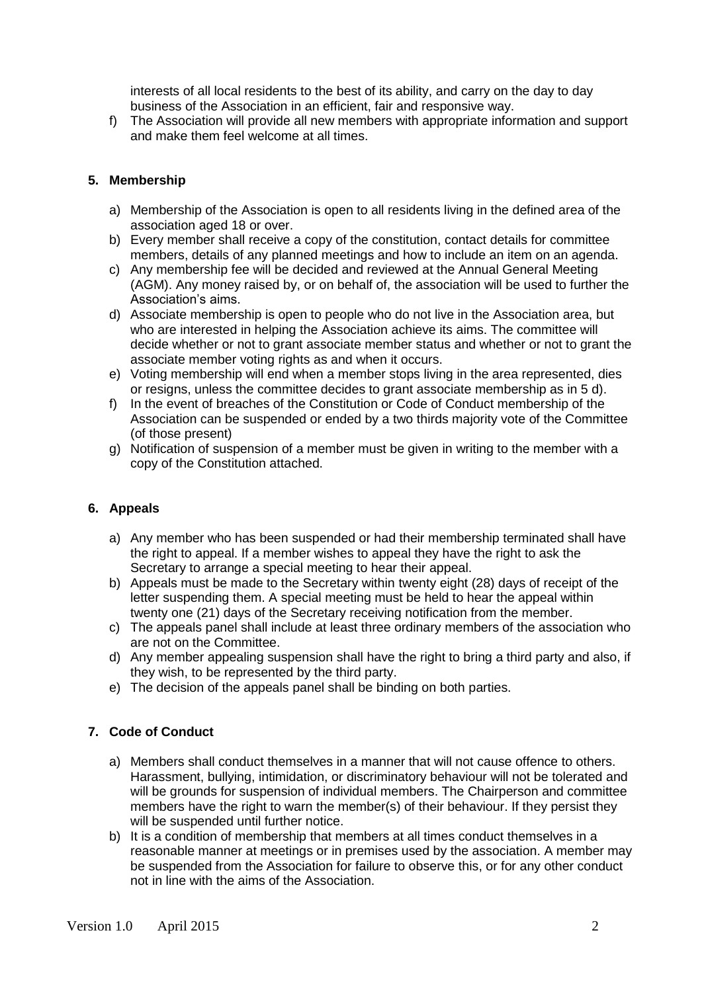interests of all local residents to the best of its ability, and carry on the day to day business of the Association in an efficient, fair and responsive way.

f) The Association will provide all new members with appropriate information and support and make them feel welcome at all times.

### **5. Membership**

- a) Membership of the Association is open to all residents living in the defined area of the association aged 18 or over.
- b) Every member shall receive a copy of the constitution, contact details for committee members, details of any planned meetings and how to include an item on an agenda.
- c) Any membership fee will be decided and reviewed at the Annual General Meeting (AGM). Any money raised by, or on behalf of, the association will be used to further the Association's aims.
- d) Associate membership is open to people who do not live in the Association area, but who are interested in helping the Association achieve its aims. The committee will decide whether or not to grant associate member status and whether or not to grant the associate member voting rights as and when it occurs.
- e) Voting membership will end when a member stops living in the area represented, dies or resigns, unless the committee decides to grant associate membership as in 5 d).
- f) In the event of breaches of the Constitution or Code of Conduct membership of the Association can be suspended or ended by a two thirds majority vote of the Committee (of those present)
- g) Notification of suspension of a member must be given in writing to the member with a copy of the Constitution attached.

#### **6. Appeals**

- a) Any member who has been suspended or had their membership terminated shall have the right to appeal. If a member wishes to appeal they have the right to ask the Secretary to arrange a special meeting to hear their appeal.
- b) Appeals must be made to the Secretary within twenty eight (28) days of receipt of the letter suspending them. A special meeting must be held to hear the appeal within twenty one (21) days of the Secretary receiving notification from the member.
- c) The appeals panel shall include at least three ordinary members of the association who are not on the Committee.
- d) Any member appealing suspension shall have the right to bring a third party and also, if they wish, to be represented by the third party.
- e) The decision of the appeals panel shall be binding on both parties.

#### **7. Code of Conduct**

- a) Members shall conduct themselves in a manner that will not cause offence to others. Harassment, bullying, intimidation, or discriminatory behaviour will not be tolerated and will be grounds for suspension of individual members. The Chairperson and committee members have the right to warn the member(s) of their behaviour. If they persist they will be suspended until further notice.
- b) It is a condition of membership that members at all times conduct themselves in a reasonable manner at meetings or in premises used by the association. A member may be suspended from the Association for failure to observe this, or for any other conduct not in line with the aims of the Association.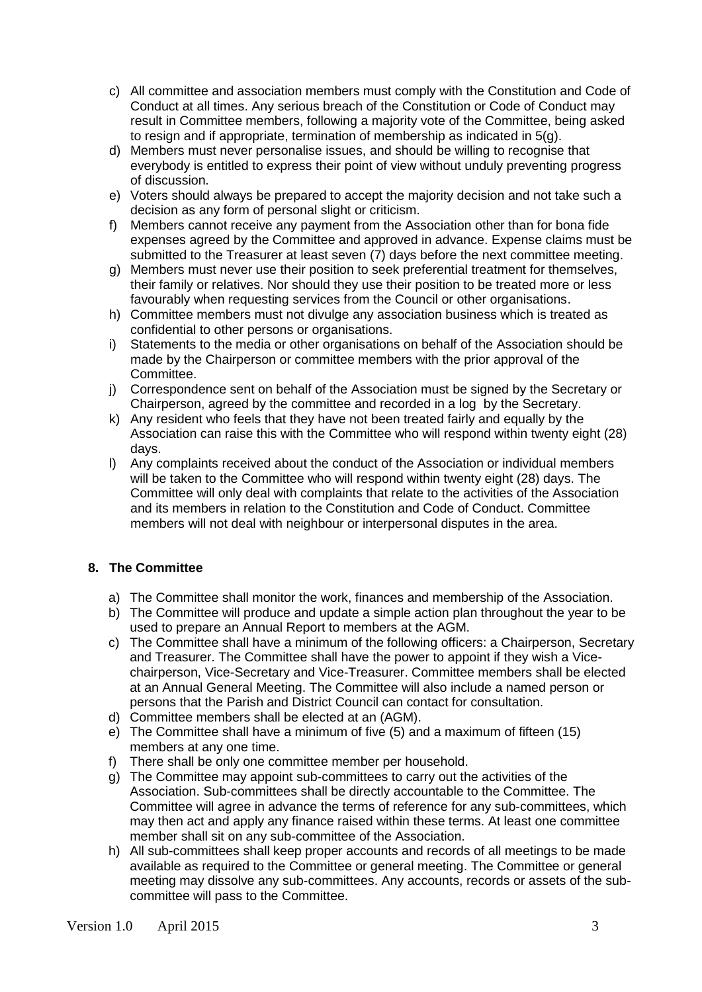- c) All committee and association members must comply with the Constitution and Code of Conduct at all times. Any serious breach of the Constitution or Code of Conduct may result in Committee members, following a majority vote of the Committee, being asked to resign and if appropriate, termination of membership as indicated in 5(g).
- d) Members must never personalise issues, and should be willing to recognise that everybody is entitled to express their point of view without unduly preventing progress of discussion.
- e) Voters should always be prepared to accept the majority decision and not take such a decision as any form of personal slight or criticism.
- f) Members cannot receive any payment from the Association other than for bona fide expenses agreed by the Committee and approved in advance. Expense claims must be submitted to the Treasurer at least seven (7) days before the next committee meeting.
- g) Members must never use their position to seek preferential treatment for themselves, their family or relatives. Nor should they use their position to be treated more or less favourably when requesting services from the Council or other organisations.
- h) Committee members must not divulge any association business which is treated as confidential to other persons or organisations.
- i) Statements to the media or other organisations on behalf of the Association should be made by the Chairperson or committee members with the prior approval of the Committee.
- j) Correspondence sent on behalf of the Association must be signed by the Secretary or Chairperson, agreed by the committee and recorded in a log by the Secretary.
- k) Any resident who feels that they have not been treated fairly and equally by the Association can raise this with the Committee who will respond within twenty eight (28) days.
- l) Any complaints received about the conduct of the Association or individual members will be taken to the Committee who will respond within twenty eight (28) days. The Committee will only deal with complaints that relate to the activities of the Association and its members in relation to the Constitution and Code of Conduct. Committee members will not deal with neighbour or interpersonal disputes in the area.

# **8. The Committee**

- a) The Committee shall monitor the work, finances and membership of the Association.
- b) The Committee will produce and update a simple action plan throughout the year to be used to prepare an Annual Report to members at the AGM.
- c) The Committee shall have a minimum of the following officers: a Chairperson, Secretary and Treasurer. The Committee shall have the power to appoint if they wish a Vicechairperson, Vice-Secretary and Vice-Treasurer. Committee members shall be elected at an Annual General Meeting. The Committee will also include a named person or persons that the Parish and District Council can contact for consultation.
- d) Committee members shall be elected at an (AGM).
- e) The Committee shall have a minimum of five (5) and a maximum of fifteen (15) members at any one time.
- f) There shall be only one committee member per household.
- g) The Committee may appoint sub-committees to carry out the activities of the Association. Sub-committees shall be directly accountable to the Committee. The Committee will agree in advance the terms of reference for any sub-committees, which may then act and apply any finance raised within these terms. At least one committee member shall sit on any sub-committee of the Association.
- h) All sub-committees shall keep proper accounts and records of all meetings to be made available as required to the Committee or general meeting. The Committee or general meeting may dissolve any sub-committees. Any accounts, records or assets of the subcommittee will pass to the Committee.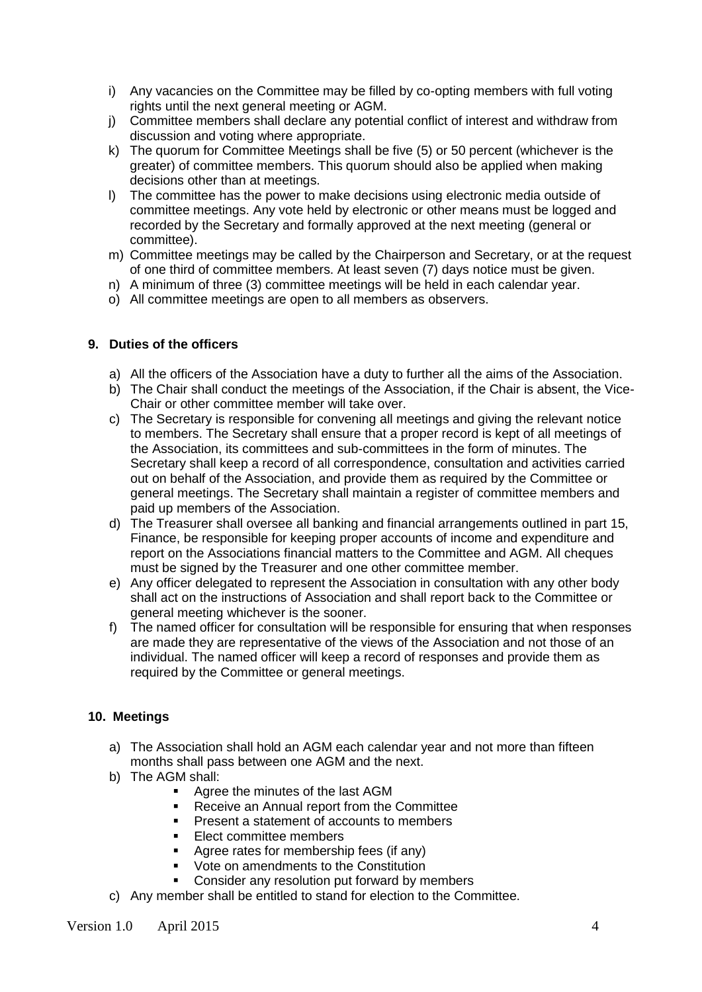- i) Any vacancies on the Committee may be filled by co-opting members with full voting rights until the next general meeting or AGM.
- j) Committee members shall declare any potential conflict of interest and withdraw from discussion and voting where appropriate.
- k) The quorum for Committee Meetings shall be five (5) or 50 percent (whichever is the greater) of committee members. This quorum should also be applied when making decisions other than at meetings.
- l) The committee has the power to make decisions using electronic media outside of committee meetings. Any vote held by electronic or other means must be logged and recorded by the Secretary and formally approved at the next meeting (general or committee).
- m) Committee meetings may be called by the Chairperson and Secretary, or at the request of one third of committee members. At least seven (7) days notice must be given.
- n) A minimum of three (3) committee meetings will be held in each calendar year.
- o) All committee meetings are open to all members as observers.

#### **9. Duties of the officers**

- a) All the officers of the Association have a duty to further all the aims of the Association.
- b) The Chair shall conduct the meetings of the Association, if the Chair is absent, the Vice-Chair or other committee member will take over.
- c) The Secretary is responsible for convening all meetings and giving the relevant notice to members. The Secretary shall ensure that a proper record is kept of all meetings of the Association, its committees and sub-committees in the form of minutes. The Secretary shall keep a record of all correspondence, consultation and activities carried out on behalf of the Association, and provide them as required by the Committee or general meetings. The Secretary shall maintain a register of committee members and paid up members of the Association.
- d) The Treasurer shall oversee all banking and financial arrangements outlined in part 15, Finance, be responsible for keeping proper accounts of income and expenditure and report on the Associations financial matters to the Committee and AGM. All cheques must be signed by the Treasurer and one other committee member.
- e) Any officer delegated to represent the Association in consultation with any other body shall act on the instructions of Association and shall report back to the Committee or general meeting whichever is the sooner.
- f) The named officer for consultation will be responsible for ensuring that when responses are made they are representative of the views of the Association and not those of an individual. The named officer will keep a record of responses and provide them as required by the Committee or general meetings.

#### **10. Meetings**

- a) The Association shall hold an AGM each calendar year and not more than fifteen months shall pass between one AGM and the next.
- b) The AGM shall:
	- Agree the minutes of the last AGM
	- Receive an Annual report from the Committee
	- Present a statement of accounts to members
	- **Elect committee members**
	- Agree rates for membership fees (if any)
	- Vote on amendments to the Constitution
	- Consider any resolution put forward by members
- c) Any member shall be entitled to stand for election to the Committee.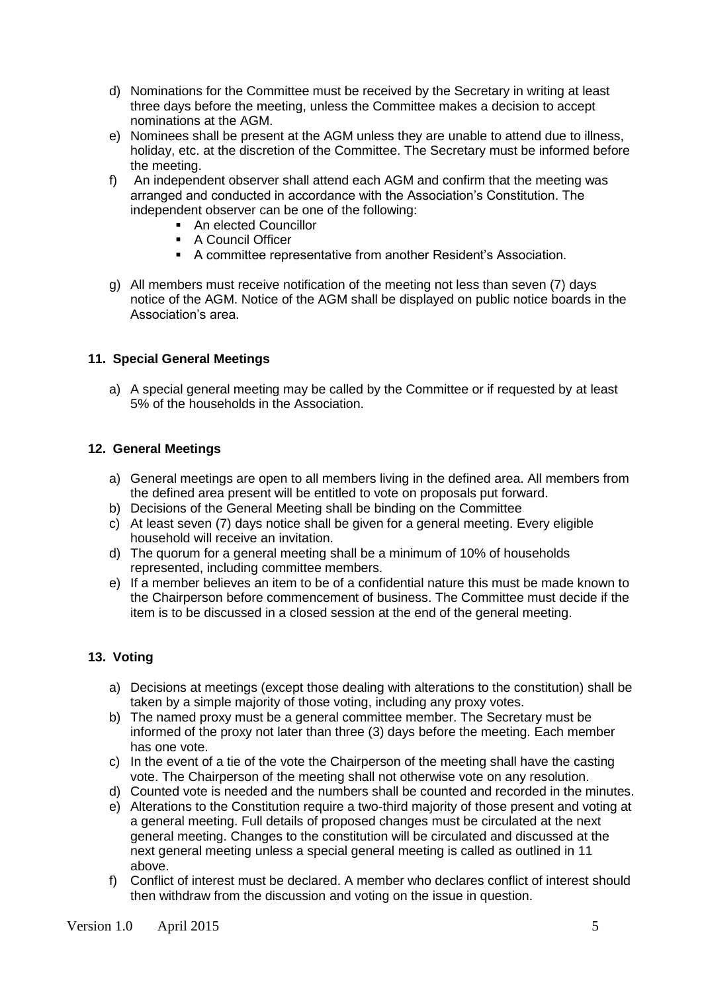- d) Nominations for the Committee must be received by the Secretary in writing at least three days before the meeting, unless the Committee makes a decision to accept nominations at the AGM.
- e) Nominees shall be present at the AGM unless they are unable to attend due to illness, holiday, etc. at the discretion of the Committee. The Secretary must be informed before the meeting.
- f) An independent observer shall attend each AGM and confirm that the meeting was arranged and conducted in accordance with the Association's Constitution. The independent observer can be one of the following:
	- **An elected Councillor**
	- **A Council Officer**
	- A committee representative from another Resident's Association.
- g) All members must receive notification of the meeting not less than seven (7) days notice of the AGM. Notice of the AGM shall be displayed on public notice boards in the Association's area.

# **11. Special General Meetings**

a) A special general meeting may be called by the Committee or if requested by at least 5% of the households in the Association.

# **12. General Meetings**

- a) General meetings are open to all members living in the defined area. All members from the defined area present will be entitled to vote on proposals put forward.
- b) Decisions of the General Meeting shall be binding on the Committee
- c) At least seven (7) days notice shall be given for a general meeting. Every eligible household will receive an invitation.
- d) The quorum for a general meeting shall be a minimum of 10% of households represented, including committee members.
- e) If a member believes an item to be of a confidential nature this must be made known to the Chairperson before commencement of business. The Committee must decide if the item is to be discussed in a closed session at the end of the general meeting.

# **13. Voting**

- a) Decisions at meetings (except those dealing with alterations to the constitution) shall be taken by a simple majority of those voting, including any proxy votes.
- b) The named proxy must be a general committee member. The Secretary must be informed of the proxy not later than three (3) days before the meeting. Each member has one vote.
- c) In the event of a tie of the vote the Chairperson of the meeting shall have the casting vote. The Chairperson of the meeting shall not otherwise vote on any resolution.
- d) Counted vote is needed and the numbers shall be counted and recorded in the minutes.
- e) Alterations to the Constitution require a two-third majority of those present and voting at a general meeting. Full details of proposed changes must be circulated at the next general meeting. Changes to the constitution will be circulated and discussed at the next general meeting unless a special general meeting is called as outlined in 11 above.
- f) Conflict of interest must be declared. A member who declares conflict of interest should then withdraw from the discussion and voting on the issue in question.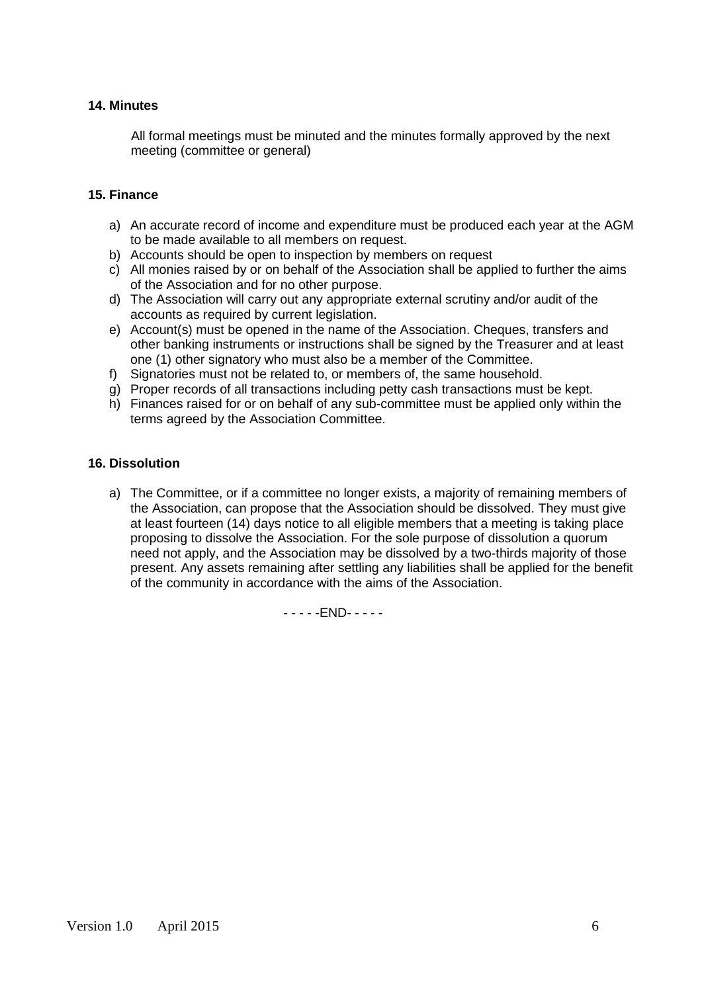#### **14. Minutes**

All formal meetings must be minuted and the minutes formally approved by the next meeting (committee or general)

#### **15. Finance**

- a) An accurate record of income and expenditure must be produced each year at the AGM to be made available to all members on request.
- b) Accounts should be open to inspection by members on request
- c) All monies raised by or on behalf of the Association shall be applied to further the aims of the Association and for no other purpose.
- d) The Association will carry out any appropriate external scrutiny and/or audit of the accounts as required by current legislation.
- e) Account(s) must be opened in the name of the Association. Cheques, transfers and other banking instruments or instructions shall be signed by the Treasurer and at least one (1) other signatory who must also be a member of the Committee.
- f) Signatories must not be related to, or members of, the same household.
- g) Proper records of all transactions including petty cash transactions must be kept.
- h) Finances raised for or on behalf of any sub-committee must be applied only within the terms agreed by the Association Committee.

#### **16. Dissolution**

a) The Committee, or if a committee no longer exists, a majority of remaining members of the Association, can propose that the Association should be dissolved. They must give at least fourteen (14) days notice to all eligible members that a meeting is taking place proposing to dissolve the Association. For the sole purpose of dissolution a quorum need not apply, and the Association may be dissolved by a two-thirds majority of those present. Any assets remaining after settling any liabilities shall be applied for the benefit of the community in accordance with the aims of the Association.

- - - - -END- - - - -